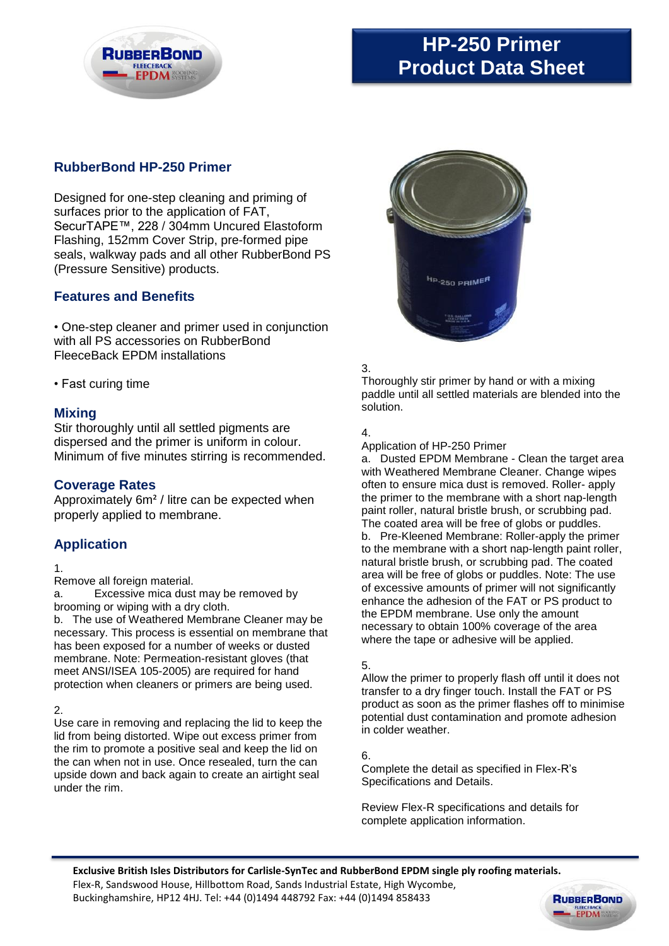

# **HP-250 Primer Product Data Sheet**

## **RubberBond HP-250 Primer**

Designed for one-step cleaning and priming of surfaces prior to the application of FAT, SecurTAPE™, 228 / 304mm Uncured Elastoform Flashing, 152mm Cover Strip, pre-formed pipe seals, walkway pads and all other RubberBond PS (Pressure Sensitive) products.

## **Features and Benefits**

• One-step cleaner and primer used in conjunction with all PS accessories on RubberBond FleeceBack EPDM installations

• Fast curing time

## **Mixing**

Stir thoroughly until all settled pigments are dispersed and the primer is uniform in colour. Minimum of five minutes stirring is recommended.

## **Coverage Rates**

Approximately 6m² / litre can be expected when properly applied to membrane.

## **Application**

#### 1.

Remove all foreign material.

a. Excessive mica dust may be removed by brooming or wiping with a dry cloth.

b. The use of Weathered Membrane Cleaner may be necessary. This process is essential on membrane that has been exposed for a number of weeks or dusted membrane. Note: Permeation-resistant gloves (that meet ANSI/ISEA 105-2005) are required for hand protection when cleaners or primers are being used.

### $\mathcal{P}$

Use care in removing and replacing the lid to keep the lid from being distorted. Wipe out excess primer from the rim to promote a positive seal and keep the lid on the can when not in use. Once resealed, turn the can upside down and back again to create an airtight seal under the rim.



### 3.

Thoroughly stir primer by hand or with a mixing paddle until all settled materials are blended into the solution.

### 4.

Application of HP-250 Primer

a. Dusted EPDM Membrane - Clean the target area with Weathered Membrane Cleaner. Change wipes often to ensure mica dust is removed. Roller- apply the primer to the membrane with a short nap-length paint roller, natural bristle brush, or scrubbing pad. The coated area will be free of globs or puddles. b. Pre-Kleened Membrane: Roller-apply the primer to the membrane with a short nap-length paint roller, natural bristle brush, or scrubbing pad. The coated area will be free of globs or puddles. Note: The use of excessive amounts of primer will not significantly enhance the adhesion of the FAT or PS product to the EPDM membrane. Use only the amount necessary to obtain 100% coverage of the area where the tape or adhesive will be applied.

#### 5.

Allow the primer to properly flash off until it does not transfer to a dry finger touch. Install the FAT or PS product as soon as the primer flashes off to minimise potential dust contamination and promote adhesion in colder weather.

6.

Complete the detail as specified in Flex-R's Specifications and Details.

Review Flex-R specifications and details for complete application information.